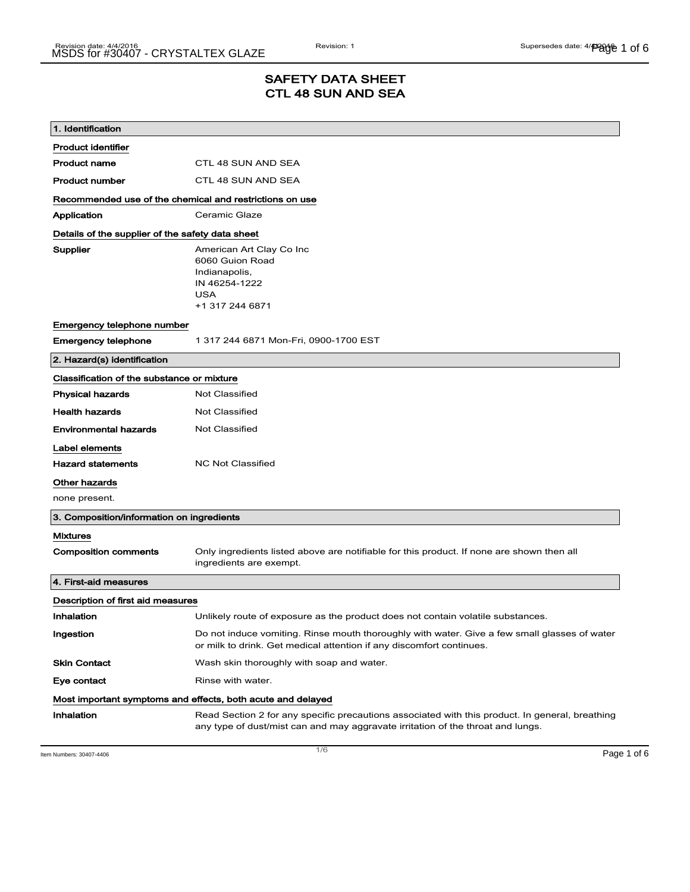# SAFETY DATA SHEET CTL 48 SUN AND SEA

| 1. Identification                                           |                                                                                                                                                                                    |
|-------------------------------------------------------------|------------------------------------------------------------------------------------------------------------------------------------------------------------------------------------|
| <b>Product identifier</b>                                   |                                                                                                                                                                                    |
| <b>Product name</b>                                         | CTL 48 SUN AND SEA                                                                                                                                                                 |
| <b>Product number</b>                                       | CTL 48 SUN AND SEA                                                                                                                                                                 |
| Recommended use of the chemical and restrictions on use     |                                                                                                                                                                                    |
| Application                                                 | Ceramic Glaze                                                                                                                                                                      |
| Details of the supplier of the safety data sheet            |                                                                                                                                                                                    |
| Supplier                                                    | American Art Clay Co Inc<br>6060 Guion Road<br>Indianapolis,<br>IN 46254-1222<br><b>USA</b><br>+1 317 244 6871                                                                     |
| Emergency telephone number                                  |                                                                                                                                                                                    |
| <b>Emergency telephone</b>                                  | 1 317 244 6871 Mon-Fri, 0900-1700 EST                                                                                                                                              |
| 2. Hazard(s) identification                                 |                                                                                                                                                                                    |
| Classification of the substance or mixture                  |                                                                                                                                                                                    |
| <b>Physical hazards</b>                                     | <b>Not Classified</b>                                                                                                                                                              |
| <b>Health hazards</b>                                       | <b>Not Classified</b>                                                                                                                                                              |
| <b>Environmental hazards</b>                                | Not Classified                                                                                                                                                                     |
| Label elements                                              |                                                                                                                                                                                    |
| <b>Hazard statements</b>                                    | <b>NC Not Classified</b>                                                                                                                                                           |
| Other hazards                                               |                                                                                                                                                                                    |
| none present.                                               |                                                                                                                                                                                    |
| 3. Composition/information on ingredients                   |                                                                                                                                                                                    |
| <b>Mixtures</b>                                             |                                                                                                                                                                                    |
| <b>Composition comments</b>                                 | Only ingredients listed above are notifiable for this product. If none are shown then all<br>ingredients are exempt.                                                               |
| 4. First-aid measures                                       |                                                                                                                                                                                    |
| Description of first aid measures                           |                                                                                                                                                                                    |
| Inhalation                                                  | Unlikely route of exposure as the product does not contain volatile substances.                                                                                                    |
| Ingestion                                                   | Do not induce vomiting. Rinse mouth thoroughly with water. Give a few small glasses of water<br>or milk to drink. Get medical attention if any discomfort continues.               |
| <b>Skin Contact</b>                                         | Wash skin thoroughly with soap and water.                                                                                                                                          |
| Eye contact                                                 | Rinse with water.                                                                                                                                                                  |
| Most important symptoms and effects, both acute and delayed |                                                                                                                                                                                    |
| Inhalation                                                  | Read Section 2 for any specific precautions associated with this product. In general, breathing<br>any type of dust/mist can and may aggravate irritation of the throat and lungs. |

Item Numbers: 30407-4406 **Page 1 of 6**  $\overline{1/6}$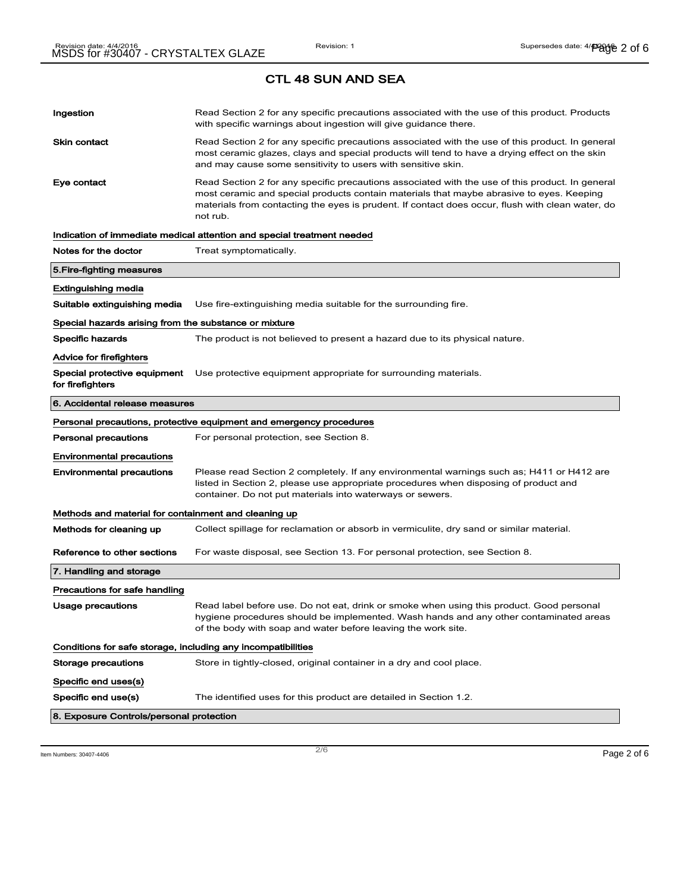| Ingestion                                                    | Read Section 2 for any specific precautions associated with the use of this product. Products<br>with specific warnings about ingestion will give guidance there.                                                                                                                                           |
|--------------------------------------------------------------|-------------------------------------------------------------------------------------------------------------------------------------------------------------------------------------------------------------------------------------------------------------------------------------------------------------|
| <b>Skin contact</b>                                          | Read Section 2 for any specific precautions associated with the use of this product. In general<br>most ceramic glazes, clays and special products will tend to have a drying effect on the skin<br>and may cause some sensitivity to users with sensitive skin.                                            |
| Eye contact                                                  | Read Section 2 for any specific precautions associated with the use of this product. In general<br>most ceramic and special products contain materials that maybe abrasive to eyes. Keeping<br>materials from contacting the eyes is prudent. If contact does occur, flush with clean water, do<br>not rub. |
|                                                              | Indication of immediate medical attention and special treatment needed                                                                                                                                                                                                                                      |
| Notes for the doctor                                         | Treat symptomatically.                                                                                                                                                                                                                                                                                      |
| 5.Fire-fighting measures                                     |                                                                                                                                                                                                                                                                                                             |
| Extinguishing media                                          |                                                                                                                                                                                                                                                                                                             |
| Suitable extinguishing media                                 | Use fire-extinguishing media suitable for the surrounding fire.                                                                                                                                                                                                                                             |
| Special hazards arising from the substance or mixture        |                                                                                                                                                                                                                                                                                                             |
| Specific hazards                                             | The product is not believed to present a hazard due to its physical nature.                                                                                                                                                                                                                                 |
| Advice for firefighters                                      |                                                                                                                                                                                                                                                                                                             |
| Special protective equipment<br>for firefighters             | Use protective equipment appropriate for surrounding materials.                                                                                                                                                                                                                                             |
| 6. Accidental release measures                               |                                                                                                                                                                                                                                                                                                             |
|                                                              |                                                                                                                                                                                                                                                                                                             |
|                                                              | Personal precautions, protective equipment and emergency procedures                                                                                                                                                                                                                                         |
| <b>Personal precautions</b>                                  | For personal protection, see Section 8.                                                                                                                                                                                                                                                                     |
| <b>Environmental precautions</b>                             |                                                                                                                                                                                                                                                                                                             |
| <b>Environmental precautions</b>                             | Please read Section 2 completely. If any environmental warnings such as; H411 or H412 are<br>listed in Section 2, please use appropriate procedures when disposing of product and<br>container. Do not put materials into waterways or sewers.                                                              |
| Methods and material for containment and cleaning up         |                                                                                                                                                                                                                                                                                                             |
| Methods for cleaning up                                      | Collect spillage for reclamation or absorb in vermiculite, dry sand or similar material.                                                                                                                                                                                                                    |
| Reference to other sections                                  | For waste disposal, see Section 13. For personal protection, see Section 8.                                                                                                                                                                                                                                 |
| 7. Handling and storage                                      |                                                                                                                                                                                                                                                                                                             |
| Precautions for safe handling                                |                                                                                                                                                                                                                                                                                                             |
| Usage precautions                                            | Read label before use. Do not eat, drink or smoke when using this product. Good personal                                                                                                                                                                                                                    |
|                                                              | hygiene procedures should be implemented. Wash hands and any other contaminated areas<br>of the body with soap and water before leaving the work site.                                                                                                                                                      |
| Conditions for safe storage, including any incompatibilities |                                                                                                                                                                                                                                                                                                             |
| Storage precautions                                          | Store in tightly-closed, original container in a dry and cool place.                                                                                                                                                                                                                                        |
| Specific end uses(s)                                         |                                                                                                                                                                                                                                                                                                             |
| Specific end use(s)                                          | The identified uses for this product are detailed in Section 1.2.                                                                                                                                                                                                                                           |

Item Numbers: 30407-4406 **Page 2 of 6**  $\overline{2/6}$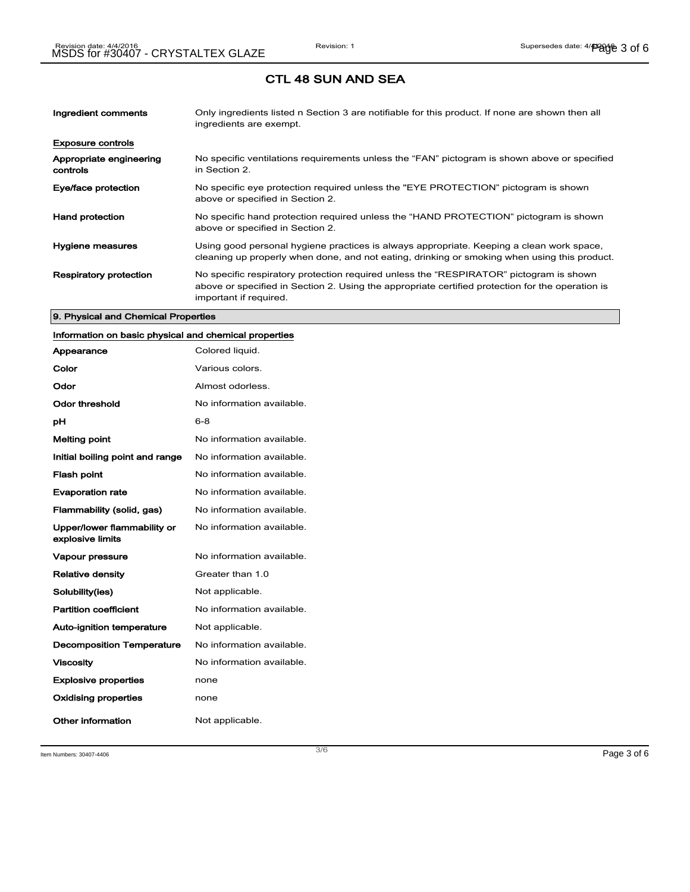| Ingredient comments                 | Only ingredients listed n Section 3 are notifiable for this product. If none are shown then all<br>ingredients are exempt.                                                                                           |
|-------------------------------------|----------------------------------------------------------------------------------------------------------------------------------------------------------------------------------------------------------------------|
| <b>Exposure controls</b>            |                                                                                                                                                                                                                      |
| Appropriate engineering<br>controls | No specific ventilations requirements unless the "FAN" pictogram is shown above or specified<br>in Section 2.                                                                                                        |
| Eye/face protection                 | No specific eye protection required unless the "EYE PROTECTION" pictogram is shown<br>above or specified in Section 2.                                                                                               |
| <b>Hand protection</b>              | No specific hand protection required unless the "HAND PROTECTION" pictogram is shown<br>above or specified in Section 2.                                                                                             |
| Hygiene measures                    | Using good personal hygiene practices is always appropriate. Keeping a clean work space,<br>cleaning up properly when done, and not eating, drinking or smoking when using this product.                             |
| <b>Respiratory protection</b>       | No specific respiratory protection required unless the "RESPIRATOR" pictogram is shown<br>above or specified in Section 2. Using the appropriate certified protection for the operation is<br>important if required. |

#### 9. Physical and Chemical Properties

# Information on basic physical and chemical properties

| Appearance                                      | Colored liquid.           |
|-------------------------------------------------|---------------------------|
| Color                                           | Various colors.           |
| Odor                                            | Almost odorless.          |
| Odor threshold                                  | No information available. |
| рH                                              | $6 - 8$                   |
| <b>Melting point</b>                            | No information available. |
| Initial boiling point and range                 | No information available. |
| <b>Flash point</b>                              | No information available. |
| <b>Evaporation rate</b>                         | No information available. |
| Flammability (solid, gas)                       | No information available. |
| Upper/lower flammability or<br>explosive limits | No information available. |
| <b>Vapour pressure</b>                          | No information available. |
| <b>Relative density</b>                         | Greater than 1.0          |
| Solubility(ies)                                 | Not applicable.           |
| <b>Partition coefficient</b>                    | No information available. |
| <b>Auto-ignition temperature</b>                | Not applicable.           |
| <b>Decomposition Temperature</b>                | No information available. |
| <b>Viscosity</b>                                | No information available. |
| <b>Explosive properties</b>                     | none                      |
| <b>Oxidising properties</b>                     | none                      |
| Other information                               | Not applicable.           |

Item Numbers:  $30407-4406$   $Page 3 of 6$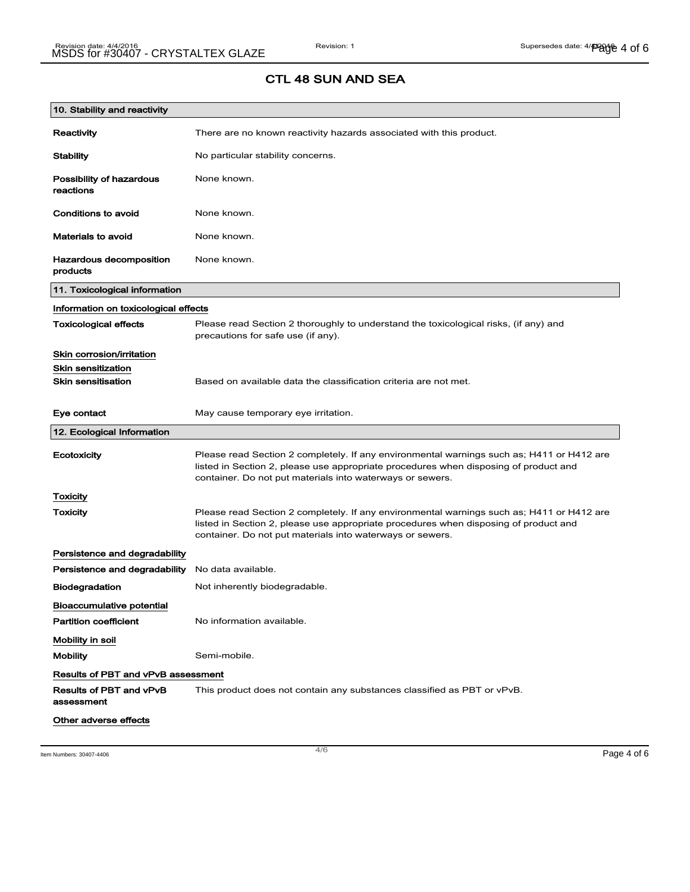| 10. Stability and reactivity               |                                                                                                                                                                                                                                                |
|--------------------------------------------|------------------------------------------------------------------------------------------------------------------------------------------------------------------------------------------------------------------------------------------------|
| Reactivity                                 | There are no known reactivity hazards associated with this product.                                                                                                                                                                            |
| <b>Stability</b>                           | No particular stability concerns.                                                                                                                                                                                                              |
| Possibility of hazardous<br>reactions      | None known.                                                                                                                                                                                                                                    |
| Conditions to avoid                        | None known.                                                                                                                                                                                                                                    |
| <b>Materials to avoid</b>                  | None known.                                                                                                                                                                                                                                    |
| <b>Hazardous decomposition</b><br>products | None known.                                                                                                                                                                                                                                    |
| 11. Toxicological information              |                                                                                                                                                                                                                                                |
| Information on toxicological effects       |                                                                                                                                                                                                                                                |
| <b>Toxicological effects</b>               | Please read Section 2 thoroughly to understand the toxicological risks, (if any) and<br>precautions for safe use (if any).                                                                                                                     |
| Skin corrosion/irritation                  |                                                                                                                                                                                                                                                |
| <b>Skin sensitization</b>                  |                                                                                                                                                                                                                                                |
| <b>Skin sensitisation</b>                  | Based on available data the classification criteria are not met.                                                                                                                                                                               |
| Eye contact                                | May cause temporary eye irritation.                                                                                                                                                                                                            |
| 12. Ecological Information                 |                                                                                                                                                                                                                                                |
| Ecotoxicity                                | Please read Section 2 completely. If any environmental warnings such as; H411 or H412 are<br>listed in Section 2, please use appropriate procedures when disposing of product and<br>container. Do not put materials into waterways or sewers. |
| Toxicity                                   |                                                                                                                                                                                                                                                |
| Toxicity                                   | Please read Section 2 completely. If any environmental warnings such as; H411 or H412 are<br>listed in Section 2, please use appropriate procedures when disposing of product and<br>container. Do not put materials into waterways or sewers. |
| Persistence and degradability              |                                                                                                                                                                                                                                                |
| Persistence and degradability              | No data available.                                                                                                                                                                                                                             |
| <b>Biodegradation</b>                      | Not inherently biodegradable.                                                                                                                                                                                                                  |
| <b>Bioaccumulative potential</b>           |                                                                                                                                                                                                                                                |
| <b>Partition coefficient</b>               | No information available.                                                                                                                                                                                                                      |
| Mobility in soil                           |                                                                                                                                                                                                                                                |
| <b>Mobility</b>                            | Semi-mobile.                                                                                                                                                                                                                                   |
| Results of PBT and vPvB assessment         |                                                                                                                                                                                                                                                |
| Results of PBT and vPvB<br>assessment      | This product does not contain any substances classified as PBT or vPvB.                                                                                                                                                                        |
| Other adverse effects                      |                                                                                                                                                                                                                                                |

Item Numbers:  $30407-4406$  Page 4 of 6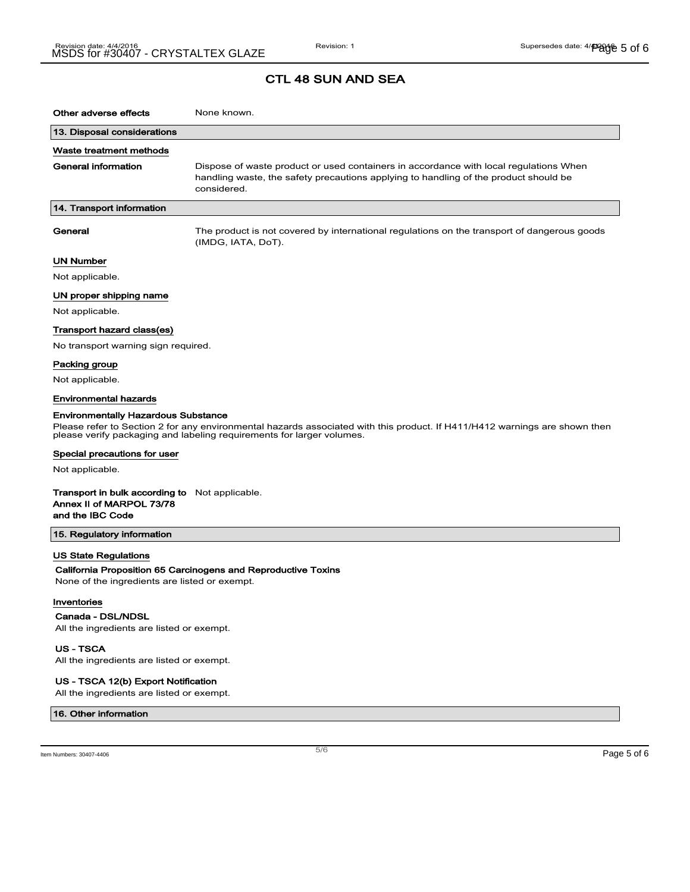| Other adverse effects                                                                                 | None known.                                                                                                                                                                                         |
|-------------------------------------------------------------------------------------------------------|-----------------------------------------------------------------------------------------------------------------------------------------------------------------------------------------------------|
| 13. Disposal considerations                                                                           |                                                                                                                                                                                                     |
| Waste treatment methods                                                                               |                                                                                                                                                                                                     |
| <b>General information</b>                                                                            | Dispose of waste product or used containers in accordance with local regulations When<br>handling waste, the safety precautions applying to handling of the product should be<br>considered.        |
| 14. Transport information                                                                             |                                                                                                                                                                                                     |
| General                                                                                               | The product is not covered by international regulations on the transport of dangerous goods<br>(IMDG, IATA, DoT).                                                                                   |
| <b>UN Number</b>                                                                                      |                                                                                                                                                                                                     |
| Not applicable.                                                                                       |                                                                                                                                                                                                     |
| UN proper shipping name                                                                               |                                                                                                                                                                                                     |
| Not applicable.                                                                                       |                                                                                                                                                                                                     |
| Transport hazard class(es)                                                                            |                                                                                                                                                                                                     |
| No transport warning sign required.                                                                   |                                                                                                                                                                                                     |
| Packing group                                                                                         |                                                                                                                                                                                                     |
| Not applicable.                                                                                       |                                                                                                                                                                                                     |
| <b>Environmental hazards</b>                                                                          |                                                                                                                                                                                                     |
| <b>Environmentally Hazardous Substance</b>                                                            | Please refer to Section 2 for any environmental hazards associated with this product. If H411/H412 warnings are shown then<br>please verify packaging and labeling requirements for larger volumes. |
| Special precautions for user                                                                          |                                                                                                                                                                                                     |
| Not applicable.                                                                                       |                                                                                                                                                                                                     |
| <b>Transport in bulk according to</b> Not applicable.<br>Annex II of MARPOL 73/78<br>and the IBC Code |                                                                                                                                                                                                     |
| 15. Regulatory information                                                                            |                                                                                                                                                                                                     |
| US State Regulations                                                                                  |                                                                                                                                                                                                     |
|                                                                                                       | California Proposition 65 Carcinogens and Reproductive Toxins                                                                                                                                       |
| None of the ingredients are listed or exempt.                                                         |                                                                                                                                                                                                     |
| Inventories                                                                                           |                                                                                                                                                                                                     |
| Canada - DSL/NDSL                                                                                     |                                                                                                                                                                                                     |
| All the ingredients are listed or exempt.                                                             |                                                                                                                                                                                                     |
| <b>US-TSCA</b>                                                                                        |                                                                                                                                                                                                     |

All the ingredients are listed or exempt.

#### US - TSCA 12(b) Export Notification

All the ingredients are listed or exempt.

#### 16. Other information